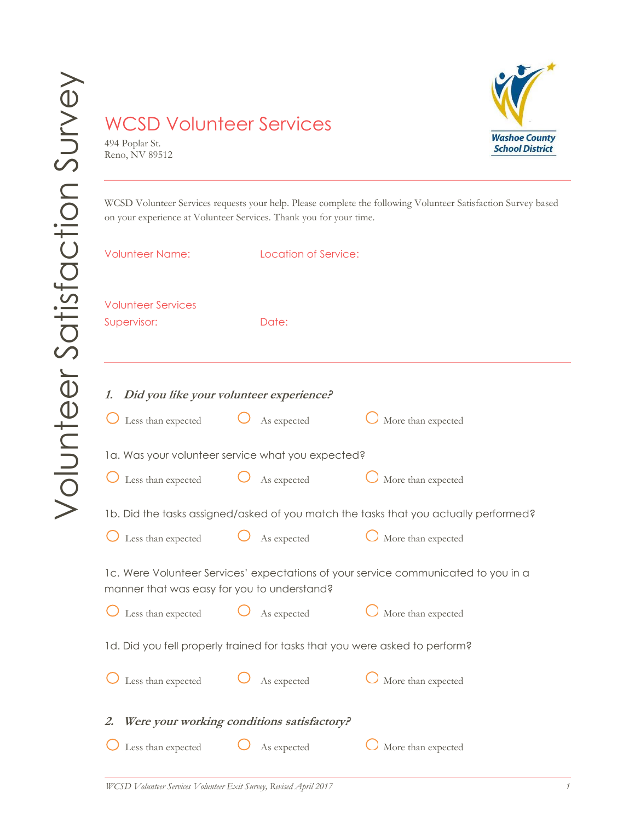## WCSD Volunteer Services

494 Poplar St. Reno, NV 89512



WCSD Volunteer Services requests your help. Please complete the following Volunteer Satisfaction Survey based on your experience at Volunteer Services. Thank you for your time.

| <b>Volunteer Name:</b>                                                                                                            |  | Location of Service: |                    |  |  |
|-----------------------------------------------------------------------------------------------------------------------------------|--|----------------------|--------------------|--|--|
| <b>Volunteer Services</b><br>Supervisor:                                                                                          |  | Date:                |                    |  |  |
| 1. Did you like your volunteer experience?                                                                                        |  |                      |                    |  |  |
| Less than expected                                                                                                                |  | As expected          | More than expected |  |  |
| la. Was your volunteer service what you expected?                                                                                 |  |                      |                    |  |  |
| Less than expected $\bigcup$ As expected                                                                                          |  |                      | More than expected |  |  |
| 1b. Did the tasks assigned/asked of you match the tasks that you actually performed?                                              |  |                      |                    |  |  |
| Less than expected $\bigcup$ As expected                                                                                          |  |                      | More than expected |  |  |
| 1c. Were Volunteer Services' expectations of your service communicated to you in a<br>manner that was easy for you to understand? |  |                      |                    |  |  |
| $\bigcup$ Less than expected $\bigcup$                                                                                            |  | As expected          | More than expected |  |  |
| 1d. Did you fell properly trained for tasks that you were asked to perform?                                                       |  |                      |                    |  |  |
| Less than expected                                                                                                                |  | As expected          | More than expected |  |  |
| 2. Were your working conditions satisfactory?                                                                                     |  |                      |                    |  |  |
| Less than expected                                                                                                                |  | As expected          | More than expected |  |  |